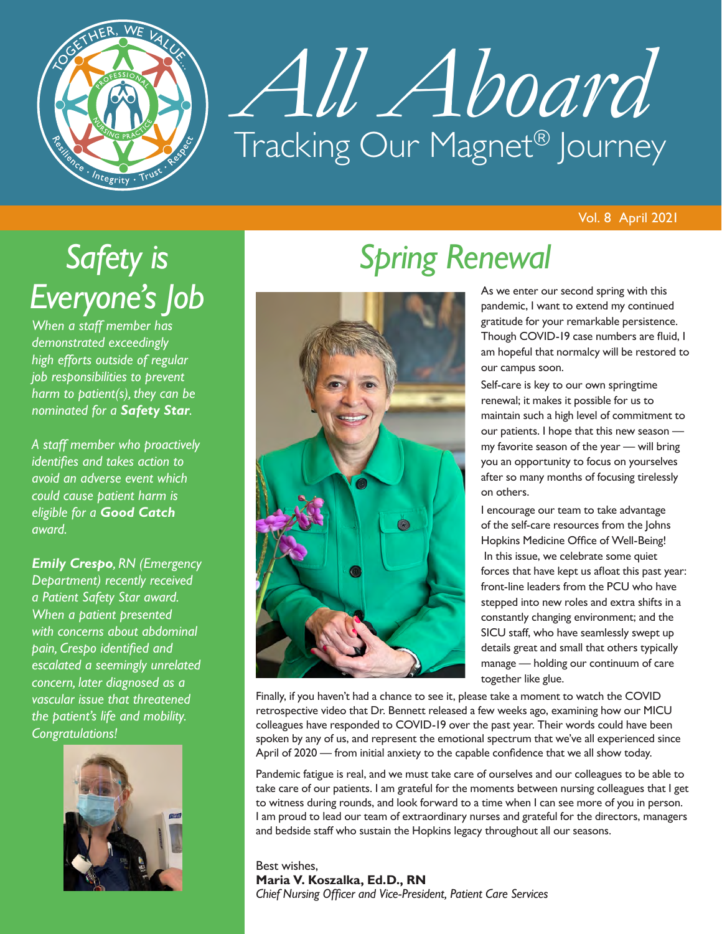

# *All Aboard* Tracking Our Magnet® Journey

# *Safety is Everyone's Job*

*When a staff member has demonstrated exceedingly high efforts outside of regular job responsibilities to prevent harm to patient(s), they can be nominated for a Safety Star.*

*A staff member who proactively identifies and takes action to avoid an adverse event which could cause patient harm is eligible for a Good Catch award.*

*Emily Crespo, RN (Emergency Department) recently received a Patient Safety Star award. When a patient presented with concerns about abdominal pain, Crespo identified and escalated a seemingly unrelated concern, later diagnosed as a vascular issue that threatened the patient's life and mobility. Congratulations!*



# *Spring Renewal*



As we enter our second spring with this pandemic, I want to extend my continued gratitude for your remarkable persistence. Though COVID-19 case numbers are fluid, I am hopeful that normalcy will be restored to our campus soon.

Self-care is key to our own springtime renewal; it makes it possible for us to maintain such a high level of commitment to our patients. I hope that this new season my favorite season of the year — will bring you an opportunity to focus on yourselves after so many months of focusing tirelessly on others.

I encourage our team to take advantage of the self-care resources from the Johns Hopkins Medicine Office of Well-Being! In this issue, we celebrate some quiet forces that have kept us afloat this past year: front-line leaders from the PCU who have stepped into new roles and extra shifts in a constantly changing environment; and the SICU staff, who have seamlessly swept up details great and small that others typically manage — holding our continuum of care together like glue.

Finally, if you haven't had a chance to see it, please take a moment to watch the COVID retrospective video that Dr. Bennett released a few weeks ago, examining how our MICU colleagues have responded to COVID-19 over the past year. Their words could have been spoken by any of us, and represent the emotional spectrum that we've all experienced since April of 2020 — from initial anxiety to the capable confidence that we all show today.

Pandemic fatigue is real, and we must take care of ourselves and our colleagues to be able to take care of our patients. I am grateful for the moments between nursing colleagues that I get to witness during rounds, and look forward to a time when I can see more of you in person. I am proud to lead our team of extraordinary nurses and grateful for the directors, managers and bedside staff who sustain the Hopkins legacy throughout all our seasons.

Best wishes, **Maria V. Koszalka, Ed.D., RN**  *Chief Nursing Officer and Vice-President, Patient Care Services*

#### Vol. 8 April 2021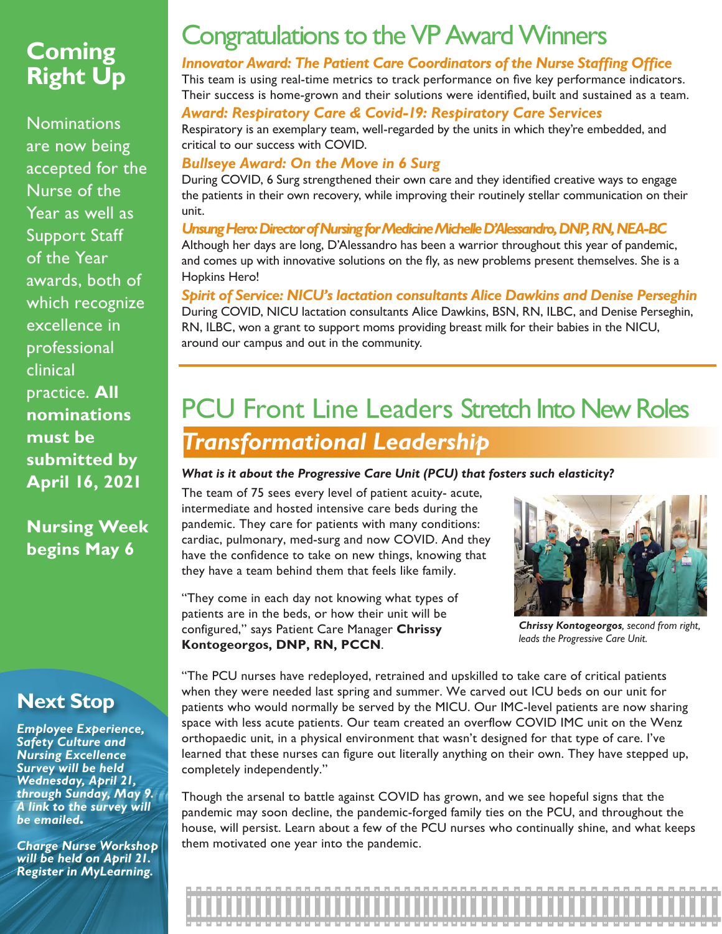# **Coming Right Up**

**Nominations** are now being accepted for the Nurse of the Year as well as Support Staff of the Year awards, both of which recognize excellence in professional clinical practice. **All nominations must be submitted by April 16, 2021**

**Nursing Week begins May 6** 

### **Next Stop**

*Employee Experience, Safety Culture and Nursing Excellence Survey will be held Wednesday, April 21, through Sunday, May 9. A link to the survey will be emailed.*

*Charge Nurse Workshop will be held on April 21. Register in MyLearning.*

# Congratulations to the VP Award Winners

#### *Innovator Award: The Patient Care Coordinators of the Nurse Staffing Office*

This team is using real-time metrics to track performance on five key performance indicators. Their success is home-grown and their solutions were identified, built and sustained as a team.

#### *Award: Respiratory Care & Covid-19: Respiratory Care Services*

Respiratory is an exemplary team, well-regarded by the units in which they're embedded, and critical to our success with COVID.

#### *Bullseye Award: On the Move in 6 Surg*

During COVID, 6 Surg strengthened their own care and they identified creative ways to engage the patients in their own recovery, while improving their routinely stellar communication on their unit.

#### *Unsung Hero: Director of Nursing for Medicine Michelle D'Alessandro, DNP, RN, NEA-BC*  Although her days are long, D'Alessandro has been a warrior throughout this year of pandemic,

and comes up with innovative solutions on the fly, as new problems present themselves. She is a Hopkins Hero!

#### *Spirit of Service: NICU's lactation consultants Alice Dawkins and Denise Perseghin*  During COVID, NICU lactation consultants Alice Dawkins, BSN, RN, ILBC, and Denise Perseghin, RN, ILBC, won a grant to support moms providing breast milk for their babies in the NICU, around our campus and out in the community.

# PCU Front Line Leaders Stretch Into New Roles *Transformational Leadership*

#### *What is it about the Progressive Care Unit (PCU) that fosters such elasticity?*

The team of 75 sees every level of patient acuity- acute, intermediate and hosted intensive care beds during the pandemic. They care for patients with many conditions: cardiac, pulmonary, med-surg and now COVID. And they have the confidence to take on new things, knowing that they have a team behind them that feels like family.

"They come in each day not knowing what types of patients are in the beds, or how their unit will be configured," says Patient Care Manager **Chrissy Kontogeorgos, DNP, RN, PCCN**.



*Chrissy Kontogeorgos, second from right, leads the Progressive Care Unit.*

"The PCU nurses have redeployed, retrained and upskilled to take care of critical patients when they were needed last spring and summer. We carved out ICU beds on our unit for patients who would normally be served by the MICU. Our IMC-level patients are now sharing space with less acute patients. Our team created an overflow COVID IMC unit on the Wenz orthopaedic unit, in a physical environment that wasn't designed for that type of care. I've learned that these nurses can figure out literally anything on their own. They have stepped up, completely independently."

Though the arsenal to battle against COVID has grown, and we see hopeful signs that the pandemic may soon decline, the pandemic-forged family ties on the PCU, and throughout the house, will persist. Learn about a few of the PCU nurses who continually shine, and what keeps them motivated one year into the pandemic.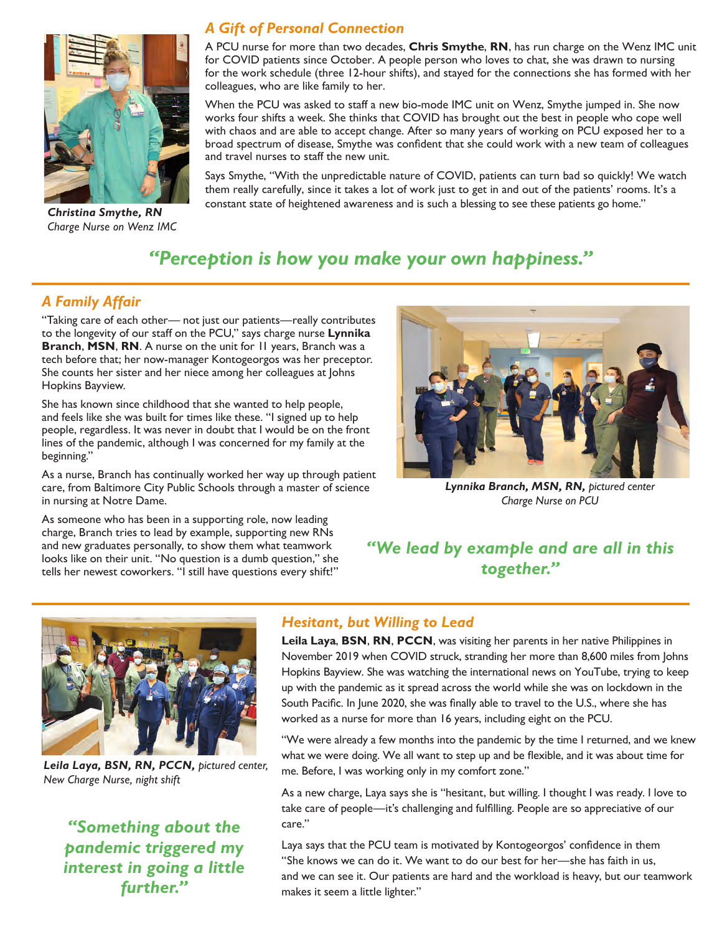

*Charge Nurse on Wenz IMC*

#### *A Gift of Personal Connection*

A PCU nurse for more than two decades, **Chris Smythe**, **RN**, has run charge on the Wenz IMC unit for COVID patients since October. A people person who loves to chat, she was drawn to nursing for the work schedule (three 12-hour shifts), and stayed for the connections she has formed with her colleagues, who are like family to her.

When the PCU was asked to staff a new bio-mode IMC unit on Wenz, Smythe jumped in. She now works four shifts a week. She thinks that COVID has brought out the best in people who cope well with chaos and are able to accept change. After so many years of working on PCU exposed her to a broad spectrum of disease, Smythe was confident that she could work with a new team of colleagues and travel nurses to staff the new unit.

Says Smythe, "With the unpredictable nature of COVID, patients can turn bad so quickly! We watch them really carefully, since it takes a lot of work just to get in and out of the patients' rooms. It's a constant state of heightened awareness and is such a blessing to see these patients go home." *Christina Smythe, RN*

### *"Perception is how you make your own happiness."*

#### *A Family Affair*

"Taking care of each other— not just our patients—really contributes to the longevity of our staff on the PCU," says charge nurse **Lynnika Branch**, **MSN**, **RN**. A nurse on the unit for 11 years, Branch was a tech before that; her now-manager Kontogeorgos was her preceptor. She counts her sister and her niece among her colleagues at Johns Hopkins Bayview.

She has known since childhood that she wanted to help people, and feels like she was built for times like these. "I signed up to help people, regardless. It was never in doubt that I would be on the front lines of the pandemic, although I was concerned for my family at the beginning."

As a nurse, Branch has continually worked her way up through patient care, from Baltimore City Public Schools through a master of science in nursing at Notre Dame.

As someone who has been in a supporting role, now leading charge, Branch tries to lead by example, supporting new RNs and new graduates personally, to show them what teamwork looks like on their unit. "No question is a dumb question," she tells her newest coworkers. "I still have questions every shift!"



*Lynnika Branch, MSN, RN, pictured center Charge Nurse on PCU*

#### *"We lead by example and are all in this together."*



*Leila Laya, BSN, RN, PCCN, pictured center, New Charge Nurse, night shift*

*"Something about the pandemic triggered my interest in going a little further."*

#### *Hesitant, but Willing to Lead*

**Leila Laya**, **BSN**, **RN**, **PCCN**, was visiting her parents in her native Philippines in November 2019 when COVID struck, stranding her more than 8,600 miles from Johns Hopkins Bayview. She was watching the international news on YouTube, trying to keep up with the pandemic as it spread across the world while she was on lockdown in the South Pacific. In June 2020, she was finally able to travel to the U.S., where she has worked as a nurse for more than 16 years, including eight on the PCU.

"We were already a few months into the pandemic by the time I returned, and we knew what we were doing. We all want to step up and be flexible, and it was about time for me. Before, I was working only in my comfort zone."

As a new charge, Laya says she is "hesitant, but willing. I thought I was ready. I love to take care of people—it's challenging and fulfilling. People are so appreciative of our care."

Laya says that the PCU team is motivated by Kontogeorgos' confidence in them "She knows we can do it. We want to do our best for her—she has faith in us, and we can see it. Our patients are hard and the workload is heavy, but our teamwork makes it seem a little lighter."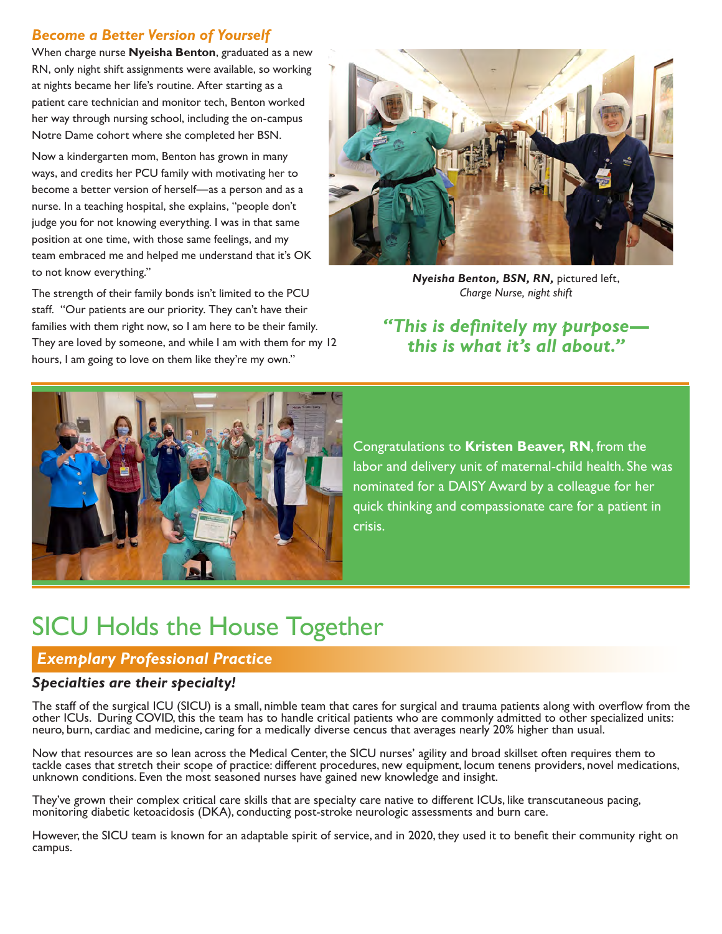#### *Become a Better Version of Yourself*

When charge nurse **Nyeisha Benton**, graduated as a new RN, only night shift assignments were available, so working at nights became her life's routine. After starting as a patient care technician and monitor tech, Benton worked her way through nursing school, including the on-campus Notre Dame cohort where she completed her BSN.

Now a kindergarten mom, Benton has grown in many ways, and credits her PCU family with motivating her to become a better version of herself—as a person and as a nurse. In a teaching hospital, she explains, "people don't judge you for not knowing everything. I was in that same position at one time, with those same feelings, and my team embraced me and helped me understand that it's OK to not know everything."

The strength of their family bonds isn't limited to the PCU staff. "Our patients are our priority. They can't have their families with them right now, so I am here to be their family. They are loved by someone, and while I am with them for my 12 hours, I am going to love on them like they're my own."



*Nyeisha Benton, BSN, RN,* pictured left, *Charge Nurse, night shift*

*"This is definitely my purpose this is what it's all about."*



Congratulations to **Kristen Beaver, RN**, from the labor and delivery unit of maternal-child health. She was nominated for a DAISY Award by a colleague for her quick thinking and compassionate care for a patient in crisis.

# SICU Holds the House Together

#### *Exemplary Professional Practice*

#### *Specialties are their specialty!*

The staff of the surgical ICU (SICU) is a small, nimble team that cares for surgical and trauma patients along with overflow from the other ICUs. During COVID, this the team has to handle critical patients who are commonly admitted to other specialized units: neuro, burn, cardiac and medicine, caring for a medically diverse cencus that averages nearly 20% higher than usual.

Now that resources are so lean across the Medical Center, the SICU nurses' agility and broad skillset often requires them to tackle cases that stretch their scope of practice: different procedures, new equipment, locum tenens providers, novel medications, unknown conditions. Even the most seasoned nurses have gained new knowledge and insight.

They've grown their complex critical care skills that are specialty care native to different ICUs, like transcutaneous pacing, monitoring diabetic ketoacidosis (DKA), conducting post-stroke neurologic assessments and burn care.

However, the SICU team is known for an adaptable spirit of service, and in 2020, they used it to benefit their community right on campus.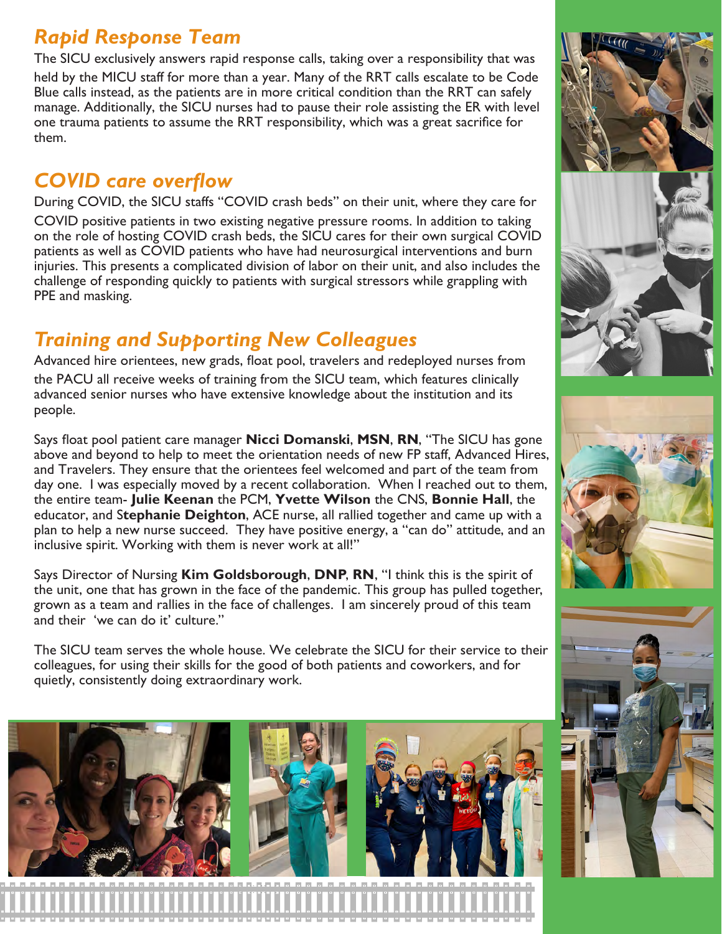# *Rapid Response Team*

The SICU exclusively answers rapid response calls, taking over a responsibility that was held by the MICU staff for more than a year. Many of the RRT calls escalate to be Code Blue calls instead, as the patients are in more critical condition than the RRT can safely manage. Additionally, the SICU nurses had to pause their role assisting the ER with level one trauma patients to assume the RRT responsibility, which was a great sacrifice for them.

# *COVID care overflow*

During COVID, the SICU staffs "COVID crash beds" on their unit, where they care for COVID positive patients in two existing negative pressure rooms. In addition to taking on the role of hosting COVID crash beds, the SICU cares for their own surgical COVID patients as well as COVID patients who have had neurosurgical interventions and burn injuries. This presents a complicated division of labor on their unit, and also includes the challenge of responding quickly to patients with surgical stressors while grappling with PPE and masking.

# *Training and Supporting New Colleagues*

Advanced hire orientees, new grads, float pool, travelers and redeployed nurses from the PACU all receive weeks of training from the SICU team, which features clinically advanced senior nurses who have extensive knowledge about the institution and its people.

Says float pool patient care manager **Nicci Domanski**, **MSN**, **RN**, "The SICU has gone above and beyond to help to meet the orientation needs of new FP staff, Advanced Hires, and Travelers. They ensure that the orientees feel welcomed and part of the team from day one. I was especially moved by a recent collaboration. When I reached out to them, the entire team- **Julie Keenan** the PCM, **Yvette Wilson** the CNS, **Bonnie Hall**, the educator, and S**tephanie Deighton**, ACE nurse, all rallied together and came up with a plan to help a new nurse succeed. They have positive energy, a "can do" attitude, and an inclusive spirit. Working with them is never work at all!"

Says Director of Nursing **Kim Goldsborough**, **DNP**, **RN**, "I think this is the spirit of the unit, one that has grown in the face of the pandemic. This group has pulled together, grown as a team and rallies in the face of challenges. I am sincerely proud of this team and their 'we can do it' culture."

The SICU team serves the whole house. We celebrate the SICU for their service to their colleagues, for using their skills for the good of both patients and coworkers, and for quietly, consistently doing extraordinary work.